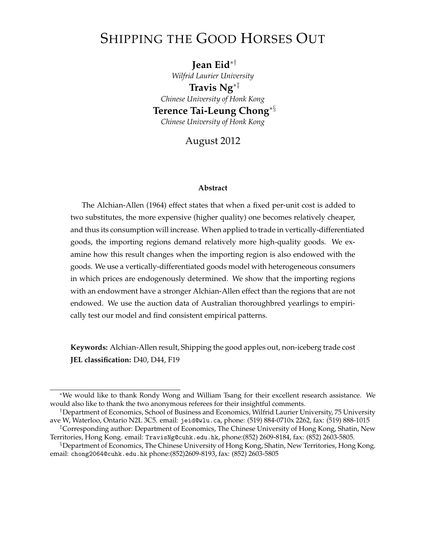# <span id="page-0-0"></span>SHIPPING THE GOOD HORSES OUT

**Jean Eid**∗† *Wilfrid Laurier University* **Travis Ng**∗‡ *Chinese University of Honk Kong* **Terence Tai-Leung Chong**∗§ *Chinese University of Honk Kong*

August 2012

#### **Abstract**

The Alchian-Allen (1964) effect states that when a fixed per-unit cost is added to two substitutes, the more expensive (higher quality) one becomes relatively cheaper, and thus its consumption will increase. When applied to trade in vertically-differentiated goods, the importing regions demand relatively more high-quality goods. We examine how this result changes when the importing region is also endowed with the goods. We use a vertically-differentiated goods model with heterogeneous consumers in which prices are endogenously determined. We show that the importing regions with an endowment have a stronger Alchian-Allen effect than the regions that are not endowed. We use the auction data of Australian thoroughbred yearlings to empirically test our model and find consistent empirical patterns.

**Keywords:** Alchian-Allen result, Shipping the good apples out, non-iceberg trade cost **JEL classification:** D40, D44, F19

<sup>∗</sup>We would like to thank Rondy Wong and William Tsang for their excellent research assistance. We would also like to thank the two anonymous referees for their insightful comments.

<sup>†</sup>Department of Economics, School of Business and Economics, Wilfrid Laurier University, 75 University ave W, Waterloo, Ontario N2L 3C5. email: [jeid@wlu.ca](mailto:jeid@wlu.ca), phone: (519) 884-0710x 2262, fax: (519) 888-1015

<sup>‡</sup>Corresponding author: Department of Economics, The Chinese University of Hong Kong, Shatin, New Territories, Hong Kong. email: [TravisNg@cuhk.edu.hk](mailto:TravisNg@cuhk.edu.hk), phone:(852) 2609-8184, fax: (852) 2603-5805.

<sup>§</sup>Department of Economics, The Chinese University of Hong Kong, Shatin, New Territories, Hong Kong. email: [chong2064@cuhk.edu.hk](mailto:chong2064@cuhk.edu.hk) phone:(852)2609-8193, fax: (852) 2603-5805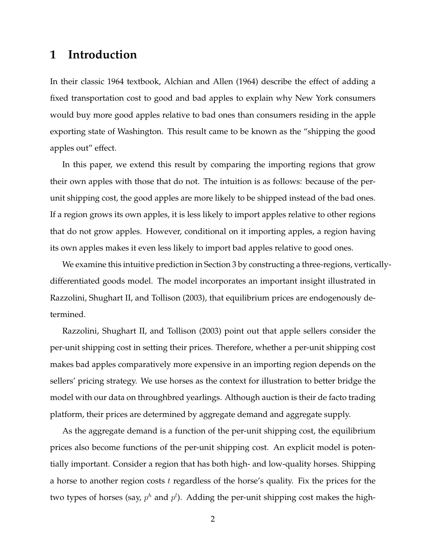### **1 Introduction**

In their classic 1964 textbook, Alchian and Allen (1964) describe the effect of adding a fixed transportation cost to good and bad apples to explain why New York consumers would buy more good apples relative to bad ones than consumers residing in the apple exporting state of Washington. This result came to be known as the "shipping the good apples out" effect.

In this paper, we extend this result by comparing the importing regions that grow their own apples with those that do not. The intuition is as follows: because of the perunit shipping cost, the good apples are more likely to be shipped instead of the bad ones. If a region grows its own apples, it is less likely to import apples relative to other regions that do not grow apples. However, conditional on it importing apples, a region having its own apples makes it even less likely to import bad apples relative to good ones.

We examine this intuitive prediction in Section [3](#page-5-0) by constructing a three-regions, verticallydifferentiated goods model. The model incorporates an important insight illustrated in Razzolini, Shughart II, and Tollison (2003), that equilibrium prices are endogenously determined.

Razzolini, Shughart II, and Tollison (2003) point out that apple sellers consider the per-unit shipping cost in setting their prices. Therefore, whether a per-unit shipping cost makes bad apples comparatively more expensive in an importing region depends on the sellers' pricing strategy. We use horses as the context for illustration to better bridge the model with our data on throughbred yearlings. Although auction is their de facto trading platform, their prices are determined by aggregate demand and aggregate supply.

As the aggregate demand is a function of the per-unit shipping cost, the equilibrium prices also become functions of the per-unit shipping cost. An explicit model is potentially important. Consider a region that has both high- and low-quality horses. Shipping a horse to another region costs t regardless of the horse's quality. Fix the prices for the two types of horses (say,  $p^h$  and  $p^l$ ). Adding the per-unit shipping cost makes the high-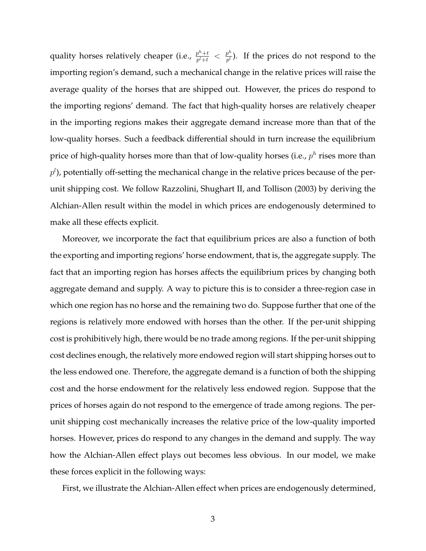quality horses relatively cheaper (i.e.,  $\frac{p^h + t}{p^l + t}$  $\frac{p^h+t}{p^l+t} < \frac{p^h}{p^l}$  $\frac{p^{\alpha}}{p^l}$ ). If the prices do not respond to the importing region's demand, such a mechanical change in the relative prices will raise the average quality of the horses that are shipped out. However, the prices do respond to the importing regions' demand. The fact that high-quality horses are relatively cheaper in the importing regions makes their aggregate demand increase more than that of the low-quality horses. Such a feedback differential should in turn increase the equilibrium price of high-quality horses more than that of low-quality horses (i.e.,  $p^h$  rises more than  $p^{l}$ ), potentially off-setting the mechanical change in the relative prices because of the perunit shipping cost. We follow Razzolini, Shughart II, and Tollison (2003) by deriving the Alchian-Allen result within the model in which prices are endogenously determined to make all these effects explicit.

Moreover, we incorporate the fact that equilibrium prices are also a function of both the exporting and importing regions' horse endowment, that is, the aggregate supply. The fact that an importing region has horses affects the equilibrium prices by changing both aggregate demand and supply. A way to picture this is to consider a three-region case in which one region has no horse and the remaining two do. Suppose further that one of the regions is relatively more endowed with horses than the other. If the per-unit shipping cost is prohibitively high, there would be no trade among regions. If the per-unit shipping cost declines enough, the relatively more endowed region will start shipping horses out to the less endowed one. Therefore, the aggregate demand is a function of both the shipping cost and the horse endowment for the relatively less endowed region. Suppose that the prices of horses again do not respond to the emergence of trade among regions. The perunit shipping cost mechanically increases the relative price of the low-quality imported horses. However, prices do respond to any changes in the demand and supply. The way how the Alchian-Allen effect plays out becomes less obvious. In our model, we make these forces explicit in the following ways:

First, we illustrate the Alchian-Allen effect when prices are endogenously determined,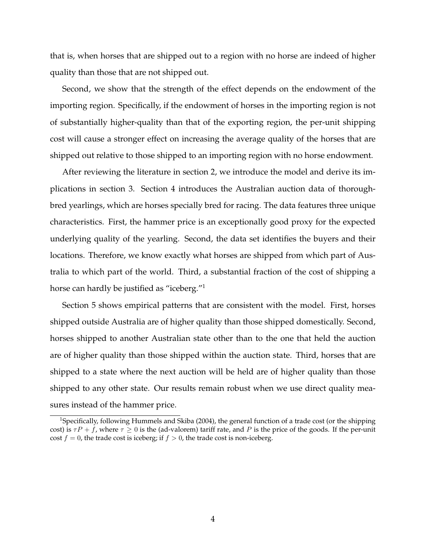that is, when horses that are shipped out to a region with no horse are indeed of higher quality than those that are not shipped out.

Second, we show that the strength of the effect depends on the endowment of the importing region. Specifically, if the endowment of horses in the importing region is not of substantially higher-quality than that of the exporting region, the per-unit shipping cost will cause a stronger effect on increasing the average quality of the horses that are shipped out relative to those shipped to an importing region with no horse endowment.

After reviewing the literature in section [2,](#page-4-0) we introduce the model and derive its implications in section [3.](#page-5-0) Section [4](#page-16-0) introduces the Australian auction data of thoroughbred yearlings, which are horses specially bred for racing. The data features three unique characteristics. First, the hammer price is an exceptionally good proxy for the expected underlying quality of the yearling. Second, the data set identifies the buyers and their locations. Therefore, we know exactly what horses are shipped from which part of Australia to which part of the world. Third, a substantial fraction of the cost of shipping a horse can hardly be justified as "iceberg."[1](#page-0-0)

Section [5](#page-20-0) shows empirical patterns that are consistent with the model. First, horses shipped outside Australia are of higher quality than those shipped domestically. Second, horses shipped to another Australian state other than to the one that held the auction are of higher quality than those shipped within the auction state. Third, horses that are shipped to a state where the next auction will be held are of higher quality than those shipped to any other state. Our results remain robust when we use direct quality measures instead of the hammer price.

<sup>&</sup>lt;sup>1</sup>Specifically, following Hummels and Skiba (2004), the general function of a trade cost (or the shipping cost) is  $\tau P + f$ , where  $\tau \ge 0$  is the (ad-valorem) tariff rate, and P is the price of the goods. If the per-unit cost  $f = 0$ , the trade cost is iceberg; if  $f > 0$ , the trade cost is non-iceberg.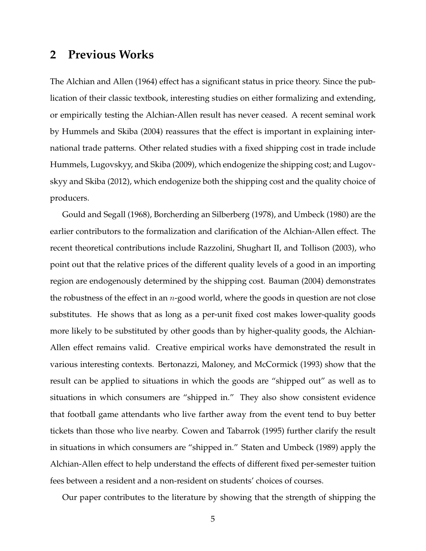### <span id="page-4-0"></span>**2 Previous Works**

The Alchian and Allen (1964) effect has a significant status in price theory. Since the publication of their classic textbook, interesting studies on either formalizing and extending, or empirically testing the Alchian-Allen result has never ceased. A recent seminal work by Hummels and Skiba (2004) reassures that the effect is important in explaining international trade patterns. Other related studies with a fixed shipping cost in trade include Hummels, Lugovskyy, and Skiba (2009), which endogenize the shipping cost; and Lugovskyy and Skiba (2012), which endogenize both the shipping cost and the quality choice of producers.

Gould and Segall (1968), Borcherding an Silberberg (1978), and Umbeck (1980) are the earlier contributors to the formalization and clarification of the Alchian-Allen effect. The recent theoretical contributions include Razzolini, Shughart II, and Tollison (2003), who point out that the relative prices of the different quality levels of a good in an importing region are endogenously determined by the shipping cost. Bauman (2004) demonstrates the robustness of the effect in an  $n$ -good world, where the goods in question are not close substitutes. He shows that as long as a per-unit fixed cost makes lower-quality goods more likely to be substituted by other goods than by higher-quality goods, the Alchian-Allen effect remains valid. Creative empirical works have demonstrated the result in various interesting contexts. Bertonazzi, Maloney, and McCormick (1993) show that the result can be applied to situations in which the goods are "shipped out" as well as to situations in which consumers are "shipped in." They also show consistent evidence that football game attendants who live farther away from the event tend to buy better tickets than those who live nearby. Cowen and Tabarrok (1995) further clarify the result in situations in which consumers are "shipped in." Staten and Umbeck (1989) apply the Alchian-Allen effect to help understand the effects of different fixed per-semester tuition fees between a resident and a non-resident on students' choices of courses.

Our paper contributes to the literature by showing that the strength of shipping the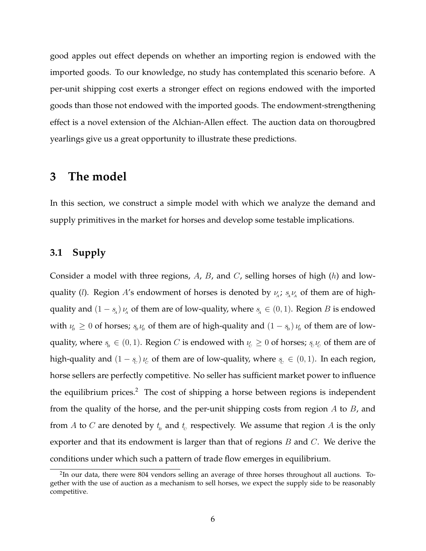good apples out effect depends on whether an importing region is endowed with the imported goods. To our knowledge, no study has contemplated this scenario before. A per-unit shipping cost exerts a stronger effect on regions endowed with the imported goods than those not endowed with the imported goods. The endowment-strengthening effect is a novel extension of the Alchian-Allen effect. The auction data on thorougbred yearlings give us a great opportunity to illustrate these predictions.

### <span id="page-5-0"></span>**3 The model**

In this section, we construct a simple model with which we analyze the demand and supply primitives in the market for horses and develop some testable implications.

#### **3.1 Supply**

Consider a model with three regions,  $A$ ,  $B$ , and  $C$ , selling horses of high  $(h)$  and lowquality (*l*). Region A's endowment of horses is denoted by  $\nu_A$ ;  $s_A \nu_A$  of them are of highquality and  $(1 - s_A) \nu_A$  of them are of low-quality, where  $s_A \in (0, 1)$ . Region B is endowed with  $\nu_{\!\scriptscriptstyle B} \ge 0$  of horses;  $s_{\!\scriptscriptstyle B} \nu_{\!\scriptscriptstyle B}$  of them are of high-quality and  $(1-s_{\!\scriptscriptstyle B})\nu_{\!\scriptscriptstyle B}$  of them are of lowquality, where  $s_{\rm B} \in (0,1)$ . Region  $C$  is endowed with  $\nu_{\rm C} \geq 0$  of horses;  $s_{\rm c}\nu_{\rm c}$  of them are of high-quality and  $(1 - s_c)\nu_c$  of them are of low-quality, where  $s_c \in (0, 1)$ . In each region, horse sellers are perfectly competitive. No seller has sufficient market power to influence the equilibrium prices.<sup>[2](#page-0-0)</sup> The cost of shipping a horse between regions is independent from the quality of the horse, and the per-unit shipping costs from region  $A$  to  $B$ , and from  $A$  to  $C$  are denoted by  $t_{\scriptscriptstyle B}$  and  $t_{\scriptscriptstyle C}$  respectively. We assume that region  $A$  is the only exporter and that its endowment is larger than that of regions  $B$  and  $C$ . We derive the conditions under which such a pattern of trade flow emerges in equilibrium.

 $2$ In our data, there were 804 vendors selling an average of three horses throughout all auctions. Together with the use of auction as a mechanism to sell horses, we expect the supply side to be reasonably competitive.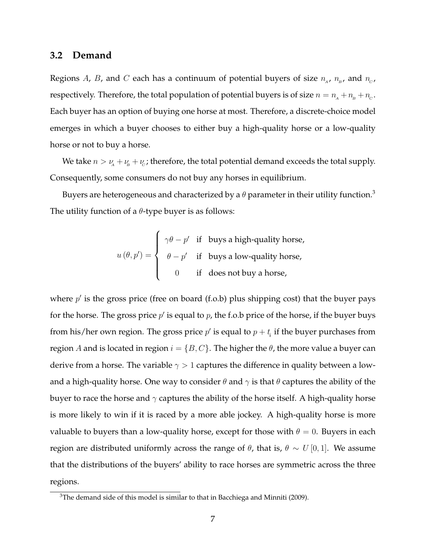#### **3.2 Demand**

Regions  $A$ ,  $B$ , and  $C$  each has a continuum of potential buyers of size  $n_{_A},$   $n_{_B}$ , and  $n_{_C}$ , respectively. Therefore, the total population of potential buyers is of size  $n = n_{\!{}_A} + n_{\!{}_B} + n_{\!{}_C}$ . Each buyer has an option of buying one horse at most. Therefore, a discrete-choice model emerges in which a buyer chooses to either buy a high-quality horse or a low-quality horse or not to buy a horse.

We take  $n > \nu_A + \nu_B + \nu_C$ ; therefore, the total potential demand exceeds the total supply. Consequently, some consumers do not buy any horses in equilibrium.

Buyers are heterogeneous and characterized by a  $\theta$  parameter in their utility function.<sup>[3](#page-0-0)</sup> The utility function of a  $\theta$ -type buyer is as follows:

$$
u(\theta, p') = \begin{cases} \gamma \theta - p' & \text{if } \text{ buys a high-quality horse,} \\ \theta - p' & \text{if } \text{ buys a low-quality horse,} \\ 0 & \text{if } \text{does not buy a horse,} \end{cases}
$$

where  $p'$  is the gross price (free on board (f.o.b) plus shipping cost) that the buyer pays for the horse. The gross price  $p'$  is equal to  $p$ , the f.o.b price of the horse, if the buyer buys from his/her own region. The gross price  $p'$  is equal to  $p+t_i$  if the buyer purchases from region A and is located in region  $i = \{B, C\}$ . The higher the  $\theta$ , the more value a buyer can derive from a horse. The variable  $\gamma > 1$  captures the difference in quality between a lowand a high-quality horse. One way to consider  $\theta$  and  $\gamma$  is that  $\theta$  captures the ability of the buyer to race the horse and  $\gamma$  captures the ability of the horse itself. A high-quality horse is more likely to win if it is raced by a more able jockey. A high-quality horse is more valuable to buyers than a low-quality horse, except for those with  $\theta = 0$ . Buyers in each region are distributed uniformly across the range of  $\theta$ , that is,  $\theta \sim U[0,1]$ . We assume that the distributions of the buyers' ability to race horses are symmetric across the three regions.

<sup>&</sup>lt;sup>3</sup>The demand side of this model is similar to that in Bacchiega and Minniti (2009).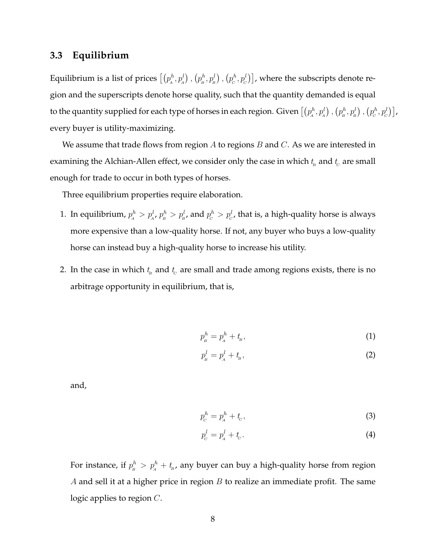#### **3.3 Equilibrium**

Equilibrium is a list of prices  $\left[\left(p_A^h, p_A^l\right),\left(p_B^h, p_B^l\right),\left(p_C^h, p_C^l\right)\right]$ , where the subscripts denote region and the superscripts denote horse quality, such that the quantity demanded is equal to the quantity supplied for each type of horses in each region. Given  $\left[\left(p_A^h,p_A^l\right),\left(p_B^h,p_B^l\right),\left(p_C^h,p_C^l\right)\right]$ , every buyer is utility-maximizing.

We assume that trade flows from region  $A$  to regions  $B$  and  $C$ . As we are interested in examining the Alchian-Allen effect, we consider only the case in which  $t_{\scriptscriptstyle \!\! B}$  and  $t_{\scriptscriptstyle \!\! C}$  are small enough for trade to occur in both types of horses.

Three equilibrium properties require elaboration.

- 1. In equilibrium,  $p^h_{_A} > p^l_{_{A'}} p^h_{_B} > p^l_{_B}$ , and  $p^h_{_C} > p^l_{_C}$ , that is, a high-quality horse is always more expensive than a low-quality horse. If not, any buyer who buys a low-quality horse can instead buy a high-quality horse to increase his utility.
- 2. In the case in which  $t_{\scriptscriptstyle B}$  and  $t_{\scriptscriptstyle C}$  are small and trade among regions exists, there is no arbitrage opportunity in equilibrium, that is,

<span id="page-7-0"></span>
$$
p_{\scriptscriptstyle B}^h = p_{\scriptscriptstyle A}^h + t_{\scriptscriptstyle B} \tag{1}
$$

<span id="page-7-1"></span>
$$
p_s^l = p_A^l + t_s,\tag{2}
$$

and,

$$
p_c^h = p_A^h + t_c,\tag{3}
$$

<span id="page-7-2"></span>
$$
p_c^l = p_A^l + t_c. \tag{4}
$$

For instance, if  $p^h_{\scriptscriptstyle{B}}> p^h_{\scriptscriptstyle{A}}+t_{\scriptscriptstyle{B}}$ , any buyer can buy a high-quality horse from region A and sell it at a higher price in region  $B$  to realize an immediate profit. The same logic applies to region C.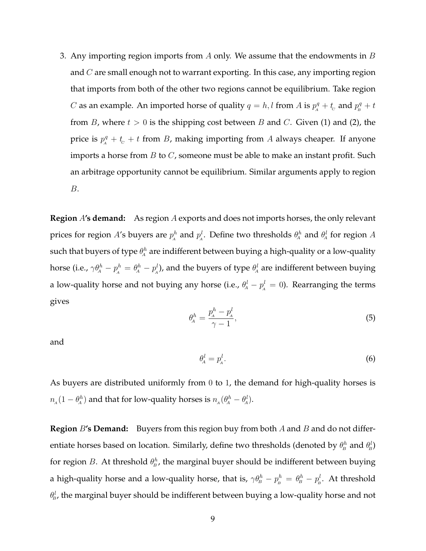3. Any importing region imports from A only. We assume that the endowments in  $B$ and  $C$  are small enough not to warrant exporting. In this case, any importing region that imports from both of the other two regions cannot be equilibrium. Take region *C* as an example. An imported horse of quality  $q = h, l$  from *A* is  $p_A^q + t_c$  and  $p_B^q + t_c$ from B, where  $t > 0$  is the shipping cost between B and C. Given [\(1\)](#page-7-0) and [\(2\)](#page-7-1), the price is  $p_1^q + t_c + t$  from B, making importing from A always cheaper. If anyone imports a horse from  $B$  to  $C$ , someone must be able to make an instant profit. Such an arbitrage opportunity cannot be equilibrium. Similar arguments apply to region B.

**Region** A**'s demand:** As region A exports and does not imports horses, the only relevant prices for region A's buyers are  $p^h_{\!{}_A}$  and  $p^l_{\!{}_A}$ . Define two thresholds  $\theta^h_{\!{}_A}$  and  $\theta^l_{\!{}_A}$  for region A such that buyers of type  $\theta^h_{\!A}$  are indifferent between buying a high-quality or a low-quality horse (i.e.,  $\gamma\theta^h_A-p^h_A=\theta^h_A-p^l_A$ ), and the buyers of type  $\theta^l_A$  are indifferent between buying a low-quality horse and not buying any horse (i.e.,  $\theta^l_{\!A} - p^l_{\!A} = 0$ ). Rearranging the terms gives

$$
\theta_A^h = \frac{p_A^h - p_A^l}{\gamma - 1},\tag{5}
$$

<span id="page-8-0"></span>and

$$
\theta^l_{\!A} = p^l_{\!A}.\tag{6}
$$

As buyers are distributed uniformly from 0 to 1, the demand for high-quality horses is  $n_{\!{}_A}(1-\theta_{\!{}_A}^h)$  and that for low-quality horses is  $n_{\!{}_A}(\theta_{\!{}_A}^h-\theta_{\!{}_A}^l).$ 

**Region** B's **Demand:** Buyers from this region buy from both A and B and do not differentiate horses based on location. Similarly, define two thresholds (denoted by  $\theta^h_\text{\tiny B}$  and  $\theta^l_\text{\tiny B})$ for region B. At threshold  $\theta^h_B$ , the marginal buyer should be indifferent between buying a high-quality horse and a low-quality horse, that is,  $\gamma\theta^h_B-p^h_B=\theta^h_B-p^l_B$ . At threshold  $\theta^l_{\!\scriptscriptstyle B}$ , the marginal buyer should be indifferent between buying a low-quality horse and not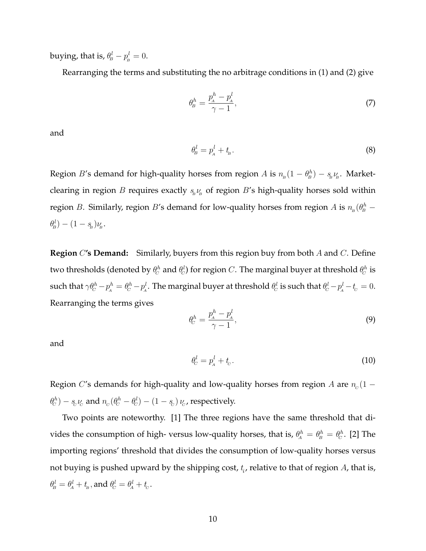buying, that is,  $\theta^l_{\!\scriptscriptstyle B} - p^l_{\scriptscriptstyle B} = 0.$ 

Rearranging the terms and substituting the no arbitrage conditions in [\(1\)](#page-7-0) and [\(2\)](#page-7-1) give

$$
\theta_B^h = \frac{p_A^h - p_A^l}{\gamma - 1},\tag{7}
$$

and

$$
\theta^l_B = p^l_A + t_B. \tag{8}
$$

Region B's demand for high-quality horses from region A is  $n_{\rm B}(1 - \theta_{\rm B}^h) - s_{\rm B} \nu_{\rm B}$ . Marketclearing in region B requires exactly  $s_{\rm B} \nu_{\rm B}$  of region B's high-quality horses sold within region B. Similarly, region B's demand for low-quality horses from region A is  $n_{\rm B}(\theta^h_{\rm B} \theta_{\!\scriptscriptstyle B}^l) - (1-s_{\!\scriptscriptstyle B}) \nu_{\!\scriptscriptstyle B}$ .

**Region** C**'s Demand:** Similarly, buyers from this region buy from both A and C. Define two thresholds (denoted by  $\theta^h_{\!C}$  and  $\theta^l_{\!C}$ ) for region  $C.$  The marginal buyer at threshold  $\theta^h_{\!C}$  is such that  $\gamma\theta_c^h-p_A^h=\theta_c^h-p_A^l.$  The marginal buyer at threshold  $\theta_c^l$  is such that  $\theta_c^l-p_A^l-t_c=0.$ Rearranging the terms gives

$$
\theta_c^h = \frac{p_A^h - p_A^l}{\gamma - 1},\tag{9}
$$

<span id="page-9-0"></span>and

$$
\theta_c^l = p_A^l + t_c. \tag{10}
$$

Region  $C$ 's demands for high-quality and low-quality horses from region  $A$  are  $n_c(1 \theta_c^h)-s_c\nu_c$  and  $n_c(\theta_c^h-\theta_c^l)-(1-s_c)\,\nu_c$ , respectively.

Two points are noteworthy. [1] The three regions have the same threshold that divides the consumption of high- versus low-quality horses, that is,  $\theta^h_{A} = \theta^h_{B} = \theta^h_{C}$ . [2] The importing regions' threshold that divides the consumption of low-quality horses versus not buying is pushed upward by the shipping cost,  $t_i$ , relative to that of region  $A$ , that is,  $\theta^l_{\!\scriptscriptstyle B} = \theta^l_{\!\scriptscriptstyle A} + t_{\!\scriptscriptstyle B}^{} ,$  and  $\theta^l_{\!\scriptscriptstyle C} = \theta^l_{\!\scriptscriptstyle A} + t_{\!\scriptscriptstyle C}^{} .$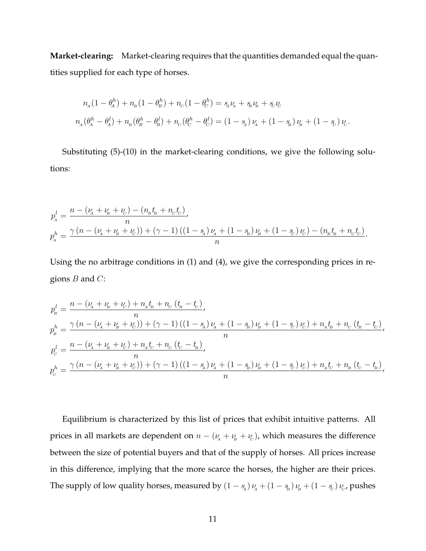**Market-clearing:** Market-clearing requires that the quantities demanded equal the quantities supplied for each type of horses.

$$
n_{A}(1 - \theta_{A}^{h}) + n_{B}(1 - \theta_{B}^{h}) + n_{C}(1 - \theta_{C}^{h}) = s_{A}\nu_{A} + s_{B}\nu_{B} + s_{C}\nu_{C}
$$
  

$$
n_{A}(\theta_{A}^{h} - \theta_{A}^{l}) + n_{B}(\theta_{B}^{h} - \theta_{B}^{l}) + n_{C}(\theta_{C}^{h} - \theta_{C}^{l}) = (1 - s_{A})\nu_{A} + (1 - s_{B})\nu_{B} + (1 - s_{C})\nu_{C}.
$$

Substituting [\(5\)](#page-8-0)-[\(10\)](#page-9-0) in the market-clearing conditions, we give the following solutions:

$$
p_A^l = \frac{n - (\nu_A + \nu_B + \nu_C) - (n_B t_B + n_C t_C)}{n},
$$
  
\n
$$
p_A^h = \frac{\gamma (n - (\nu_A + \nu_B + \nu_C)) + (\gamma - 1) ((1 - s_A) \nu_A + (1 - s_B) \nu_B + (1 - s_C) \nu_C) - (n_B t_B + n_C t_C)}{n}.
$$

Using the no arbitrage conditions in [\(1\)](#page-7-0) and [\(4\)](#page-7-2), we give the corresponding prices in regions  $B$  and  $C$ :

$$
p_{B}^{l} = \frac{n - (\nu_{A} + \nu_{B} + \nu_{C}) + n_{A}t_{B} + n_{C}(t_{B} - t_{C})}{n},
$$
  
\n
$$
p_{B}^{h} = \frac{\gamma (n - (\nu_{A} + \nu_{B} + \nu_{C})) + (\gamma - 1)((1 - s_{A})\nu_{A} + (1 - s_{B})\nu_{B} + (1 - s_{C})\nu_{C}) + n_{A}t_{B} + n_{C}(t_{B} - t_{C})}{n},
$$
  
\n
$$
p_{C}^{l} = \frac{n - (\nu_{A} + \nu_{B} + \nu_{C}) + n_{A}t_{C} + n_{C}(t_{C} - t_{B})}{n},
$$
  
\n
$$
p_{C}^{h} = \frac{\gamma (n - (\nu_{A} + \nu_{B} + \nu_{C})) + (\gamma - 1)((1 - s_{A})\nu_{A} + (1 - s_{B})\nu_{B} + (1 - s_{C})\nu_{C}) + n_{A}t_{C} + n_{B}(t_{C} - t_{B})}{n},
$$

Equilibrium is characterized by this list of prices that exhibit intuitive patterns. All prices in all markets are dependent on  $n - (\nu_A + \nu_B + \nu_C)$ , which measures the difference between the size of potential buyers and that of the supply of horses. All prices increase in this difference, implying that the more scarce the horses, the higher are their prices. The supply of low quality horses, measured by  $(1-s_{\!{}_A})\,\nu_{\!{}_A} + (1-s_{\!{}_B})\,\nu_{\!{}_B} + (1-s_{\!{}_C})\,\nu_{\!{}_C}$ , pushes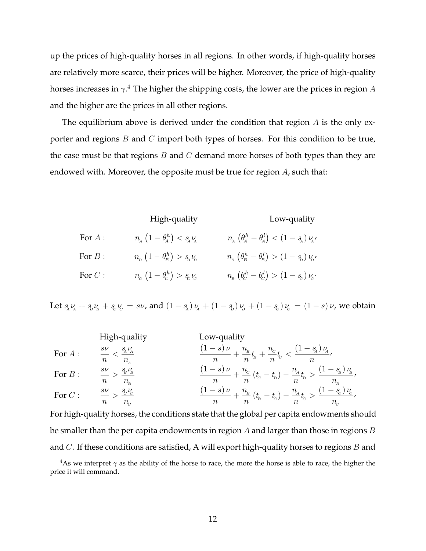up the prices of high-quality horses in all regions. In other words, if high-quality horses are relatively more scarce, their prices will be higher. Moreover, the price of high-quality horses increases in  $\gamma.4$  $\gamma.4$  The higher the shipping costs, the lower are the prices in region  $A$ and the higher are the prices in all other regions.

The equilibrium above is derived under the condition that region  $A$  is the only exporter and regions  $B$  and  $C$  import both types of horses. For this condition to be true, the case must be that regions  $B$  and  $C$  demand more horses of both types than they are endowed with. Moreover, the opposite must be true for region A, such that:

|                | High-quality                                                          | Low-quality                                                                                                                                                                                               |
|----------------|-----------------------------------------------------------------------|-----------------------------------------------------------------------------------------------------------------------------------------------------------------------------------------------------------|
| For $\cal A$ : | $n_{A}$ $\left(1-\theta_{A}^{h}\right) < s_{A}\nu_{A}$                | $n_{\!{}_A}\left(\theta_{\!{}_A}^h-\theta_{\!{}_A}^l\right)<\left(1-s_{\!{}_A}\right)\nu_{\!{}_A},$                                                                                                       |
| For $B$ :      | $n_{\rm B}$ $\left(1-\theta_{\rm B}^h\right) > s_{\rm B} \nu_{\rm B}$ | $n_{\!\scriptscriptstyle B} \left(\theta_{\!\scriptscriptstyle B}^h - \theta_{\!\scriptscriptstyle B}^l\right) > \left(1-s_{\!\scriptscriptstyle B}\right)\nu_{\!\scriptscriptstyle B}^{\vphantom{1}}$    |
| For $C$ :      | $n_c\left(1-\theta_c^h\right) > s_c\nu_c$                             | $n_{\!\scriptscriptstyle B} \left(\theta_{\!\scriptscriptstyle C}^h-\theta_{\!\scriptscriptstyle C}^l\right) > \left(1-s_{\!\scriptscriptstyle C}\right)\nu_{\!\scriptscriptstyle C} \label{eq:ns} \cdot$ |

Let  $s_{A}\nu_{A} + s_{B}\nu_{B} + s_{C}\nu_{C} = s\nu$ , and  $(1 - s_{A})\nu_{A} + (1 - s_{B})\nu_{B} + (1 - s_{C})\nu_{C} = (1 - s)\nu$ , we obtain

| High-quality | Low-quality                              |                                                                                                  |
|--------------|------------------------------------------|--------------------------------------------------------------------------------------------------|
| For A:       | $\frac{s\nu}{n} < \frac{s_A \nu_A}{n_A}$ | $\frac{(1-s)\nu}{n} + \frac{n_B}{n} t_B + \frac{n_C}{n} t_C < \frac{(1-s_A)\nu_A}{n},$           |
| For B:       | $\frac{s\nu}{n} > \frac{s_B \nu_B}{n_B}$ | $\frac{(1-s)\nu}{n} + \frac{n_C}{n} (t_C - t_B) - \frac{n_A}{n} t_B > \frac{(1-s_B)\nu_B}{n_B},$ |
| For C:       | $\frac{s\nu}{n} > \frac{s_C \nu_C}{n_C}$ | $\frac{(1-s)\nu}{n} + \frac{n_B}{n} (t_B - t_C) - \frac{n_A}{n} t_C > \frac{(1-s_C)\nu_C}{n_C},$ |

For high-quality horses, the conditions state that the global per capita endowments should be smaller than the per capita endowments in region  $A$  and larger than those in regions  $B$ and  $C$ . If these conditions are satisfied, A will export high-quality horses to regions  $B$  and

<sup>&</sup>lt;sup>4</sup>As we interpret  $\gamma$  as the ability of the horse to race, the more the horse is able to race, the higher the price it will command.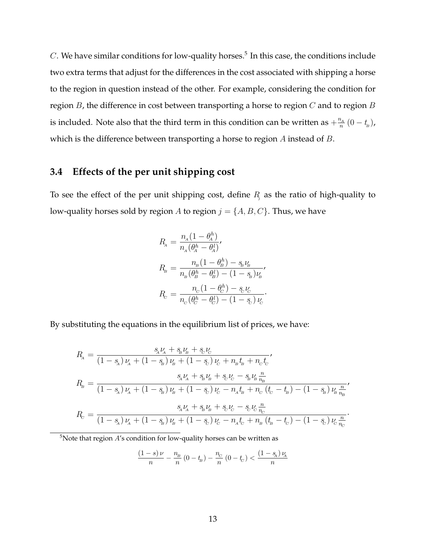$C$ . We have similar conditions for low-quality horses.<sup>[5](#page-0-0)</sup> In this case, the conditions include two extra terms that adjust for the differences in the cost associated with shipping a horse to the region in question instead of the other. For example, considering the condition for region B, the difference in cost between transporting a horse to region  $C$  and to region  $B$ is included. Note also that the third term in this condition can be written as  $+\frac{n_A}{n}$  $\frac{\partial_A}{\partial n}(0-t_{\!\scriptscriptstyle B})$  , which is the difference between transporting a horse to region A instead of B.

### **3.4 Effects of the per unit shipping cost**

To see the effect of the per unit shipping cost, define  $R<sub>j</sub>$  as the ratio of high-quality to low-quality horses sold by region A to region  $j = \{A, B, C\}$ . Thus, we have

$$
R_{\rm a} = \frac{n_{\rm a}(1 - \theta_{\rm A}^h)}{n_{\rm a}(\theta_{\rm A}^h - \theta_{\rm A}^l)},
$$
  
\n
$$
R_{\rm b} = \frac{n_{\rm b}(1 - \theta_{\rm B}^h) - s_{\rm b}v_{\rm B}}{n_{\rm b}(\theta_{\rm B}^h - \theta_{\rm B}^l) - (1 - s_{\rm b})v_{\rm B}^l},
$$
  
\n
$$
R_{\rm c} = \frac{n_{\rm c}(1 - \theta_{\rm c}^h) - s_{\rm b}v_{\rm c}}{n_{\rm c}(\theta_{\rm c}^h - \theta_{\rm c}^l) - (1 - s_{\rm c})v_{\rm c}}.
$$

By substituting the equations in the equilibrium list of prices, we have:

$$
R_{\rm A} = \frac{s_{\rm A}v_{\rm A} + s_{\rm B}v_{\rm B} + s_{\rm C}v_{\rm C}}{(1 - s_{\rm A})v_{\rm A} + (1 - s_{\rm B})v_{\rm B} + (1 - s_{\rm C})v_{\rm C} + n_{\rm B}t_{\rm B} + n_{\rm C}t_{\rm C}},
$$
\n
$$
R_{\rm B} = \frac{s_{\rm A}v_{\rm A} + s_{\rm B}v_{\rm B} + s_{\rm C}v_{\rm C} - s_{\rm B}v_{\rm B}\frac{n}{n_{\rm B}}}{(1 - s_{\rm A})v_{\rm A} + (1 - s_{\rm B})v_{\rm B} + (1 - s_{\rm C})v_{\rm C} - n_{\rm A}t_{\rm B} + n_{\rm C}(t_{\rm C} - t_{\rm B}) - (1 - s_{\rm B})v_{\rm B}\frac{n}{n_{\rm B}}},
$$
\n
$$
R_{\rm C} = \frac{s_{\rm A}v_{\rm A} + s_{\rm B}v_{\rm B} + s_{\rm C}v_{\rm C} - s_{\rm C}v_{\rm C}\frac{n}{n_{\rm C}}}{(1 - s_{\rm A})v_{\rm A} + (1 - s_{\rm B})v_{\rm B} + (1 - s_{\rm C})v_{\rm C} - n_{\rm A}t_{\rm C} + n_{\rm B}(t_{\rm B} - t_{\rm C}) - (1 - s_{\rm C})v_{\rm C}\frac{n}{n_{\rm C}}}.
$$

 $5$ Note that region  $A$ 's condition for low-quality horses can be written as

$$
\frac{(1-s)\nu}{n} - \frac{n_{\rm B}}{n} (0-t_{\rm B}) - \frac{n_{\rm C}}{n} (0-t_{\rm C}) < \frac{(1-s_{\rm A})\nu_{\rm A}}{n}
$$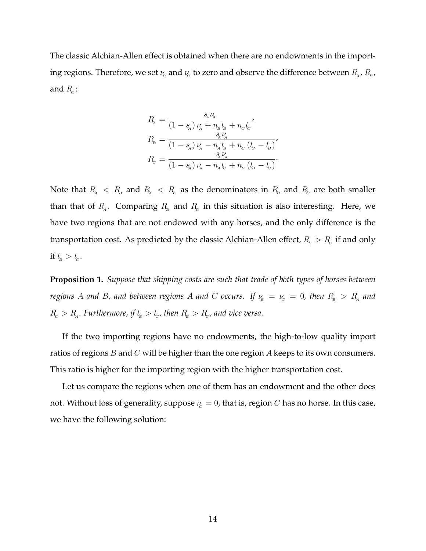The classic Alchian-Allen effect is obtained when there are no endowments in the importing regions. Therefore, we set  $\nu_{\!\scriptscriptstyle B}$  and  $\nu_{\!\scriptscriptstyle C}$  to zero and observe the difference between  $R_{_{\!A}}$ ,  $R_{_{\!B}}$ , and  $R_{\!c}$ :

$$
R_{\rm a} = \frac{s_{\rm a} V_{\rm a}}{(1 - s_{\rm a}) \nu_{\rm a} + n_{\rm b} t_{\rm b} + n_{\rm c} t_{\rm c}},
$$
  
\n
$$
R_{\rm b} = \frac{s_{\rm a} V_{\rm a}}{(1 - s_{\rm a}) \nu_{\rm a} - n_{\rm a} t_{\rm b} + n_{\rm c} (t_{\rm c} - t_{\rm b})},
$$
  
\n
$$
R_{\rm c} = \frac{s_{\rm a} V_{\rm a}}{(1 - s_{\rm a}) \nu_{\rm a} - n_{\rm a} t_{\rm c} + n_{\rm b} (t_{\rm b} - t_{\rm c})}.
$$

Note that  $R_{\rm a}~<~R_{\rm b}$  and  $R_{\rm a}~<~R_{\rm c}$  as the denominators in  $R_{\rm a}$  and  $R_{\rm c}$  are both smaller than that of  $R_{\!_A}$ . Comparing  $R_{\!_B}$  and  $R_{\!_C}$  in this situation is also interesting. Here, we have two regions that are not endowed with any horses, and the only difference is the transportation cost. As predicted by the classic Alchian-Allen effect,  $R_{\scriptscriptstyle\rm B} > R_{\rm c}$  if and only if  $t_{\scriptscriptstyle B} > t_{\scriptscriptstyle C}$ .

<span id="page-13-0"></span>**Proposition 1.** *Suppose that shipping costs are such that trade of both types of horses between*  $r$ egions  $A$  and  $B$ , and between regions  $A$  and  $C$  occurs. If  $\nu_{_{\!B}}\,=\,\nu_{_{\!C}}\,=\,0$ , then  $R_{_{\!B}}\,>\,R_{_{\!A}}$  and  $R_{\rm c} > R_{\rm a}$ . Furthermore, if  $t_{\rm s} > t_{\rm c}$ , then  $R_{\rm s} > R_{\rm c}$ , and vice versa.

If the two importing regions have no endowments, the high-to-low quality import ratios of regions  $B$  and  $C$  will be higher than the one region  $A$  keeps to its own consumers. This ratio is higher for the importing region with the higher transportation cost.

Let us compare the regions when one of them has an endowment and the other does not. Without loss of generality, suppose  $\nu_c = 0$ , that is, region C has no horse. In this case, we have the following solution: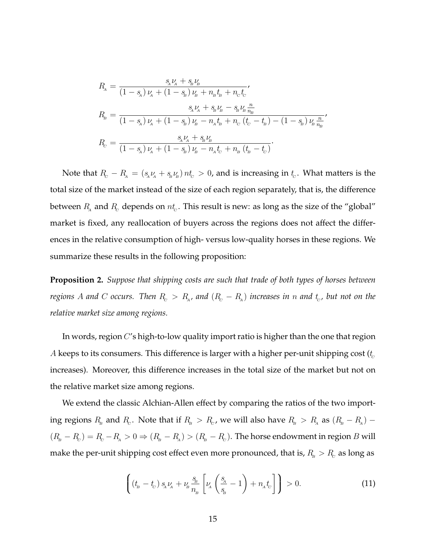$$
\begin{aligned} R_{\rm a} &= \frac{s_{\rm a}\nu_{\rm a}+s_{\rm b}\nu_{\rm b}}{\left(1-s_{\rm a}\right)\nu_{\rm a}+\left(1-s_{\rm b}\right)\nu_{\rm b}+n_{\rm b}t_{\rm b}+n_{\rm c}t_{\rm c}},\\ R_{\rm b} &= \frac{s_{\rm a}\nu_{\rm a}+s_{\rm b}\nu_{\rm b}-s_{\rm b}\nu_{\rm b}\frac{n}{n_{\rm b}}}{\left(1-s_{\rm a}\right)\nu_{\rm a}+\left(1-s_{\rm b}\right)\nu_{\rm b}-n_{\rm a}t_{\rm b}+n_{\rm c}\left(t_{\rm c}-t_{\rm b}\right)-\left(1-s_{\rm b}\right)\nu_{\rm b}\frac{n}{n_{\rm b}}},\\ R_{\rm c} &= \frac{s_{\rm a}\nu_{\rm a}+s_{\rm b}\nu_{\rm b}}{\left(1-s_{\rm a}\right)\nu_{\rm a}+\left(1-s_{\rm b}\right)\nu_{\rm b}-n_{\rm a}t_{\rm c}+n_{\rm b}\left(t_{\rm b}-t_{\rm c}\right)}. \end{aligned}
$$

Note that  $R_c - R_A = (s_A \nu_A + s_B \nu_B) n t_C > 0$ , and is increasing in  $t_c$ . What matters is the total size of the market instead of the size of each region separately, that is, the difference between  $R_{\!_\text{A}}$  and  $R_{\!_\text{C}}$  depends on  $nt_c.$  This result is new: as long as the size of the "global" market is fixed, any reallocation of buyers across the regions does not affect the differences in the relative consumption of high- versus low-quality horses in these regions. We summarize these results in the following proposition:

<span id="page-14-0"></span>**Proposition 2.** *Suppose that shipping costs are such that trade of both types of horses between regions A and C occurs. Then*  $R_c$  $>$  $R_{\scriptscriptstyle\! A}$ *, and*  $(R_c-R_{\scriptscriptstyle\! A})$  *increases in*  $n$  *and*  $t_c$ *, but not on the relative market size among regions.*

In words, region  $C'$ s high-to-low quality import ratio is higher than the one that region A keeps to its consumers. This difference is larger with a higher per-unit shipping cost  $(t_c)$ increases). Moreover, this difference increases in the total size of the market but not on the relative market size among regions.

We extend the classic Alchian-Allen effect by comparing the ratios of the two importing regions  $R_{\rm B}$  and  $R_{\rm c}$ . Note that if  $R_{\rm B} > R_{\rm c}$ , we will also have  $R_{\rm B} > R_{\rm A}$  as  $(R_{\rm B} - R_{\rm A})$  –  $(R_{\rm B}-R_{\rm C})=R_{\rm c}-R_{\rm A}>0 \Rightarrow (R_{\rm B}-R_{\rm A})>(R_{\rm B}-R_{\rm C})$ . The horse endowment in region  $B$  will make the per-unit shipping cost effect even more pronounced, that is,  $R_{\!\scriptscriptstyle B} > R_{\!\scriptscriptstyle C}$  as long as

<span id="page-14-1"></span>
$$
\left( \left( t_{\scriptscriptstyle B} - t_{\scriptscriptstyle C} \right) s_{\scriptscriptstyle A} \nu_{\scriptscriptstyle A} + \nu_{\scriptscriptstyle B} \frac{s_{\scriptscriptstyle B}}{n_{\scriptscriptstyle B}} \left[ \nu_{\scriptscriptstyle A} \left( \frac{s_{\scriptscriptstyle A}}{s_{\scriptscriptstyle B}} - 1 \right) + n_{\scriptscriptstyle A} t_{\scriptscriptstyle C} \right] \right) > 0. \tag{11}
$$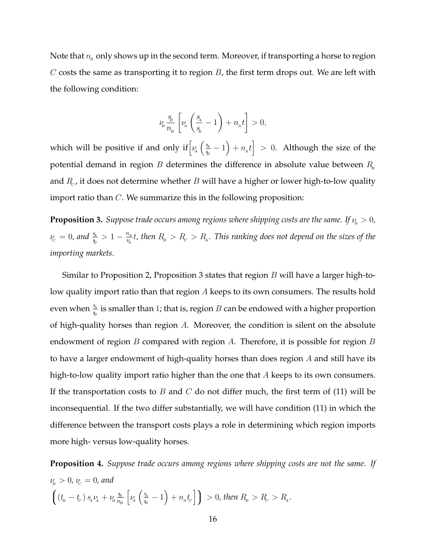Note that  $n_B$  only shows up in the second term. Moreover, if transporting a horse to region C costs the same as transporting it to region  $B$ , the first term drops out. We are left with the following condition:

$$
\nu_{\!\scriptscriptstyle B} \, \frac{s_{\!\scriptscriptstyle B}}{n_{\!\scriptscriptstyle B}} \, \bigg[\nu_{\!\scriptscriptstyle A} \, \bigg(\frac{s_{\!\scriptscriptstyle A}}{s_{\!\scriptscriptstyle B}}-1\bigg) + n_{\!\scriptscriptstyle A} t \bigg] > 0,
$$

which will be positive if and only if  $\left[\nu_A\right]\frac{S_A}{S_B}$  $\left(\frac{s_{\rm A}}{s_{\rm B}}-1\right)+n_{\rm A}t\Big]\ >\ 0.\ \ \hbox{Although the size of the}$ potential demand in region  $B$  determines the difference in absolute value between  $R_{\text{B}}$ and  $R_c$ , it does not determine whether  $B$  will have a higher or lower high-to-low quality import ratio than  $C$ . We summarize this in the following proposition:

<span id="page-15-0"></span>**Proposition 3.** *Suppose trade occurs among regions where shipping costs are the same. If*  $\nu_{\rm B} > 0$ *,*  $\nu_{\rm c} = 0$ , and  $\frac{s_{\rm A}}{s_{\rm B}} > 1 - \frac{n_{\rm A}}{\nu_{\rm A}}$  $\frac{n_A}{\nu_A}$ t, then  $R_{_{\rm B}}> R_{_{\rm C}}> R_{_{\rm A}}.$  This ranking does not depend on the sizes of the *importing markets.*

Similar to Proposition [2,](#page-14-0) Proposition [3](#page-15-0) states that region  $B$  will have a larger high-tolow quality import ratio than that region A keeps to its own consumers. The results hold even when  $\frac{s_{\rm A}}{s_{\rm B}}$  is smaller than 1; that is, region  $B$  can be endowed with a higher proportion of high-quality horses than region  $A$ . Moreover, the condition is silent on the absolute endowment of region  $B$  compared with region  $A$ . Therefore, it is possible for region  $B$ to have a larger endowment of high-quality horses than does region A and still have its high-to-low quality import ratio higher than the one that  $A$  keeps to its own consumers. If the transportation costs to B and C do not differ much, the first term of [\(11\)](#page-14-1) will be inconsequential. If the two differ substantially, we will have condition [\(11\)](#page-14-1) in which the difference between the transport costs plays a role in determining which region imports more high- versus low-quality horses.

<span id="page-15-1"></span>**Proposition 4.** *Suppose trade occurs among regions where shipping costs are not the same. If*  $\nu_{\rm p} > 0$ ,  $\nu_{\rm c} = 0$ , and  $\Big(\left(t_{\!\scriptscriptstyle B}-t_{\!\scriptscriptstyle C}\right) s_{\!\scriptscriptstyle A} \nu_{\!\scriptscriptstyle A} + \nu_{\!\scriptscriptstyle B} \frac{\$\scriptscriptstyle B}{n_{\!\scriptscriptstyle E}}$  $n_{\!\stackrel{\phantom{.}}{B}}$  $\left[\nu_A \right] \left(\frac{s_A}{s_B}\right]$  $\left(\frac{s_{\rm A}}{s_{\rm B}}-1\right)+n_{\rm A}t_{\rm C}\bigg]\bigg)\,>0$ , then  $R_{\rm B}>R_{\rm C}>R_{\rm A}.$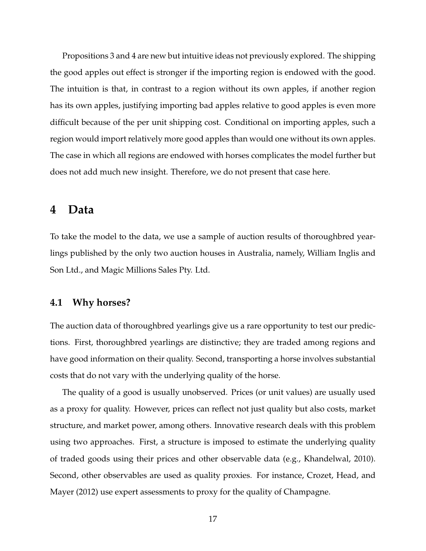Propositions [3](#page-15-0) and [4](#page-15-1) are new but intuitive ideas not previously explored. The shipping the good apples out effect is stronger if the importing region is endowed with the good. The intuition is that, in contrast to a region without its own apples, if another region has its own apples, justifying importing bad apples relative to good apples is even more difficult because of the per unit shipping cost. Conditional on importing apples, such a region would import relatively more good apples than would one without its own apples. The case in which all regions are endowed with horses complicates the model further but does not add much new insight. Therefore, we do not present that case here.

### <span id="page-16-0"></span>**4 Data**

To take the model to the data, we use a sample of auction results of thoroughbred yearlings published by the only two auction houses in Australia, namely, William Inglis and Son Ltd., and Magic Millions Sales Pty. Ltd.

### **4.1 Why horses?**

The auction data of thoroughbred yearlings give us a rare opportunity to test our predictions. First, thoroughbred yearlings are distinctive; they are traded among regions and have good information on their quality. Second, transporting a horse involves substantial costs that do not vary with the underlying quality of the horse.

The quality of a good is usually unobserved. Prices (or unit values) are usually used as a proxy for quality. However, prices can reflect not just quality but also costs, market structure, and market power, among others. Innovative research deals with this problem using two approaches. First, a structure is imposed to estimate the underlying quality of traded goods using their prices and other observable data (e.g., Khandelwal, 2010). Second, other observables are used as quality proxies. For instance, Crozet, Head, and Mayer (2012) use expert assessments to proxy for the quality of Champagne.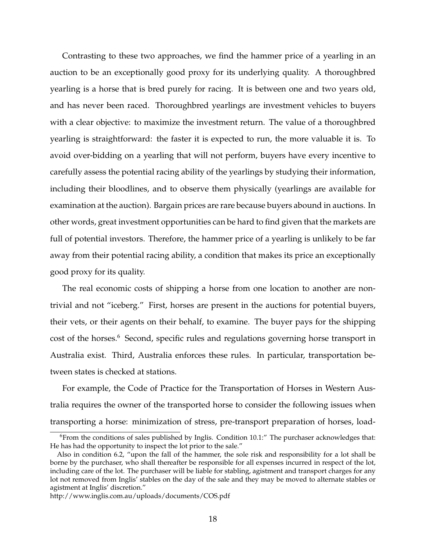Contrasting to these two approaches, we find the hammer price of a yearling in an auction to be an exceptionally good proxy for its underlying quality. A thoroughbred yearling is a horse that is bred purely for racing. It is between one and two years old, and has never been raced. Thoroughbred yearlings are investment vehicles to buyers with a clear objective: to maximize the investment return. The value of a thoroughbred yearling is straightforward: the faster it is expected to run, the more valuable it is. To avoid over-bidding on a yearling that will not perform, buyers have every incentive to carefully assess the potential racing ability of the yearlings by studying their information, including their bloodlines, and to observe them physically (yearlings are available for examination at the auction). Bargain prices are rare because buyers abound in auctions. In other words, great investment opportunities can be hard to find given that the markets are full of potential investors. Therefore, the hammer price of a yearling is unlikely to be far away from their potential racing ability, a condition that makes its price an exceptionally good proxy for its quality.

The real economic costs of shipping a horse from one location to another are nontrivial and not "iceberg." First, horses are present in the auctions for potential buyers, their vets, or their agents on their behalf, to examine. The buyer pays for the shipping cost of the horses.<sup>[6](#page-0-0)</sup> Second, specific rules and regulations governing horse transport in Australia exist. Third, Australia enforces these rules. In particular, transportation between states is checked at stations.

For example, the Code of Practice for the Transportation of Horses in Western Australia requires the owner of the transported horse to consider the following issues when transporting a horse: minimization of stress, pre-transport preparation of horses, load-

 $6$ From the conditions of sales published by Inglis. Condition 10.1: $\degree$  The purchaser acknowledges that: He has had the opportunity to inspect the lot prior to the sale."

Also in condition 6.2, "upon the fall of the hammer, the sole risk and responsibility for a lot shall be borne by the purchaser, who shall thereafter be responsible for all expenses incurred in respect of the lot, including care of the lot. The purchaser will be liable for stabling, agistment and transport charges for any lot not removed from Inglis' stables on the day of the sale and they may be moved to alternate stables or agistment at Inglis' discretion."

http://www.inglis.com.au/uploads/documents/COS.pdf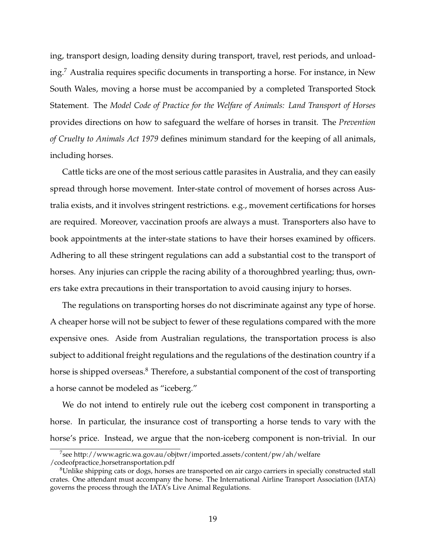ing, transport design, loading density during transport, travel, rest periods, and unloading.[7](#page-0-0) Australia requires specific documents in transporting a horse. For instance, in New South Wales, moving a horse must be accompanied by a completed Transported Stock Statement. The *Model Code of Practice for the Welfare of Animals: Land Transport of Horses* provides directions on how to safeguard the welfare of horses in transit. The *Prevention of Cruelty to Animals Act 1979* defines minimum standard for the keeping of all animals, including horses.

Cattle ticks are one of the most serious cattle parasites in Australia, and they can easily spread through horse movement. Inter-state control of movement of horses across Australia exists, and it involves stringent restrictions. e.g., movement certifications for horses are required. Moreover, vaccination proofs are always a must. Transporters also have to book appointments at the inter-state stations to have their horses examined by officers. Adhering to all these stringent regulations can add a substantial cost to the transport of horses. Any injuries can cripple the racing ability of a thoroughbred yearling; thus, owners take extra precautions in their transportation to avoid causing injury to horses.

The regulations on transporting horses do not discriminate against any type of horse. A cheaper horse will not be subject to fewer of these regulations compared with the more expensive ones. Aside from Australian regulations, the transportation process is also subject to additional freight regulations and the regulations of the destination country if a horse is shipped overseas.<sup>[8](#page-0-0)</sup> Therefore, a substantial component of the cost of transporting a horse cannot be modeled as "iceberg."

We do not intend to entirely rule out the iceberg cost component in transporting a horse. In particular, the insurance cost of transporting a horse tends to vary with the horse's price. Instead, we argue that the non-iceberg component is non-trivial. In our

<sup>7</sup> see [http://www.agric.wa.gov.au/objtwr/imported](http://www.agric.wa.gov.au/objtwr/imported_assets/content/pw/ah/welfare/codeofpractice_horsetransportation.pdf) assets/content/pw/ah/welfare /codeofpractice [horsetransportation.pdf](http://www.agric.wa.gov.au/objtwr/imported_assets/content/pw/ah/welfare/codeofpractice_horsetransportation.pdf)

<sup>&</sup>lt;sup>8</sup>Unlike shipping cats or dogs, horses are transported on air cargo carriers in specially constructed stall crates. One attendant must accompany the horse. The International Airline Transport Association (IATA) governs the process through the IATA's Live Animal Regulations.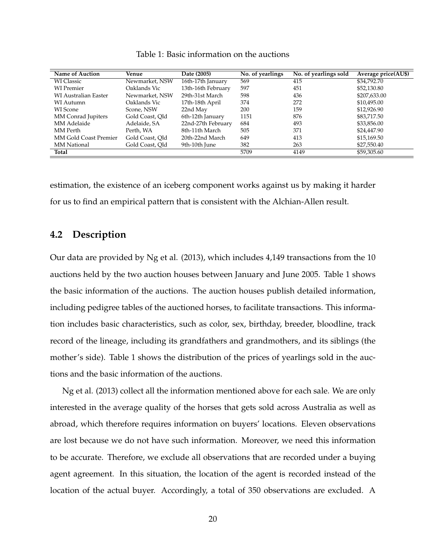<span id="page-19-0"></span>

| <b>Name of Auction</b>      | Venue           | Date (2005)        | No. of yearlings | No. of yearlings sold | Average price(AU\$) |
|-----------------------------|-----------------|--------------------|------------------|-----------------------|---------------------|
| <b>WI</b> Classic           | Newmarket, NSW  | 16th-17th January  | 569              | 415                   | \$34,792.70         |
| <b>WI</b> Premier           | Oaklands Vic    | 13th-16th February | 597              | 451                   | \$52,130.80         |
| <b>WI Australian Easter</b> | Newmarket, NSW  | 29th-31st March    | 598              | 436                   | \$207,633.00        |
| WI Autumn                   | Oaklands Vic    | 17th-18th April    | 374              | 272                   | \$10,495.00         |
| WI Scone                    | Scone, NSW      | 22nd May           | 200              | 159                   | \$12,926.90         |
| MM Conrad Jupiters          | Gold Coast, Old | 6th-12th January   | 1151             | 876                   | \$83,717.50         |
| MM Adelaide                 | Adelaide, SA    | 22nd-27th February | 684              | 493                   | \$33,856.00         |
| MM Perth                    | Perth. WA       | 8th-11th March     | 505              | 371                   | \$24,447.90         |
| MM Gold Coast Premier       | Gold Coast, Old | 20th-22nd March    | 649              | 413                   | \$15,169.50         |
| <b>MM</b> National          | Gold Coast, Old | 9th-10th June      | 382              | 263                   | \$27,550.40         |
| Total                       |                 |                    | 5709             | 4149                  | \$59,305.60         |

Table 1: Basic information on the auctions

estimation, the existence of an iceberg component works against us by making it harder for us to find an empirical pattern that is consistent with the Alchian-Allen result.

#### **4.2 Description**

Our data are provided by Ng et al. (2013), which includes 4,149 transactions from the 10 auctions held by the two auction houses between January and June 2005. Table [1](#page-19-0) shows the basic information of the auctions. The auction houses publish detailed information, including pedigree tables of the auctioned horses, to facilitate transactions. This information includes basic characteristics, such as color, sex, birthday, breeder, bloodline, track record of the lineage, including its grandfathers and grandmothers, and its siblings (the mother's side). Table [1](#page-19-0) shows the distribution of the prices of yearlings sold in the auctions and the basic information of the auctions.

Ng et al. (2013) collect all the information mentioned above for each sale. We are only interested in the average quality of the horses that gets sold across Australia as well as abroad, which therefore requires information on buyers' locations. Eleven observations are lost because we do not have such information. Moreover, we need this information to be accurate. Therefore, we exclude all observations that are recorded under a buying agent agreement. In this situation, the location of the agent is recorded instead of the location of the actual buyer. Accordingly, a total of 350 observations are excluded. A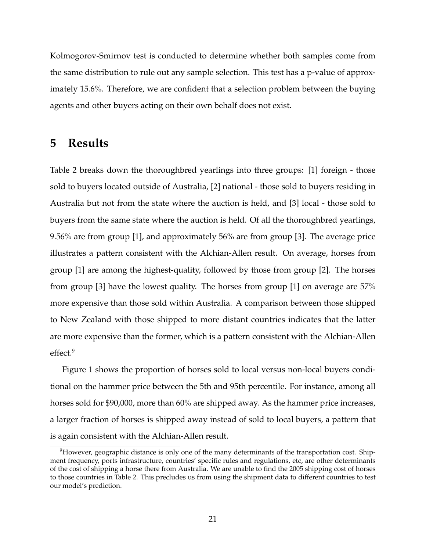Kolmogorov-Smirnov test is conducted to determine whether both samples come from the same distribution to rule out any sample selection. This test has a p-value of approximately 15.6%. Therefore, we are confident that a selection problem between the buying agents and other buyers acting on their own behalf does not exist.

### <span id="page-20-0"></span>**5 Results**

Table [2](#page-21-0) breaks down the thoroughbred yearlings into three groups: [1] foreign - those sold to buyers located outside of Australia, [2] national - those sold to buyers residing in Australia but not from the state where the auction is held, and [3] local - those sold to buyers from the same state where the auction is held. Of all the thoroughbred yearlings, 9.56% are from group [1], and approximately 56% are from group [3]. The average price illustrates a pattern consistent with the Alchian-Allen result. On average, horses from group [1] are among the highest-quality, followed by those from group [2]. The horses from group [3] have the lowest quality. The horses from group [1] on average are 57% more expensive than those sold within Australia. A comparison between those shipped to New Zealand with those shipped to more distant countries indicates that the latter are more expensive than the former, which is a pattern consistent with the Alchian-Allen effect.<sup>[9](#page-0-0)</sup>

Figure [1](#page-21-1) shows the proportion of horses sold to local versus non-local buyers conditional on the hammer price between the 5th and 95th percentile. For instance, among all horses sold for \$90,000, more than 60% are shipped away. As the hammer price increases, a larger fraction of horses is shipped away instead of sold to local buyers, a pattern that is again consistent with the Alchian-Allen result.

 $9$ However, geographic distance is only one of the many determinants of the transportation cost. Shipment frequency, ports infrastructure, countries' specific rules and regulations, etc, are other determinants of the cost of shipping a horse there from Australia. We are unable to find the 2005 shipping cost of horses to those countries in Table [2.](#page-21-0) This precludes us from using the shipment data to different countries to test our model's prediction.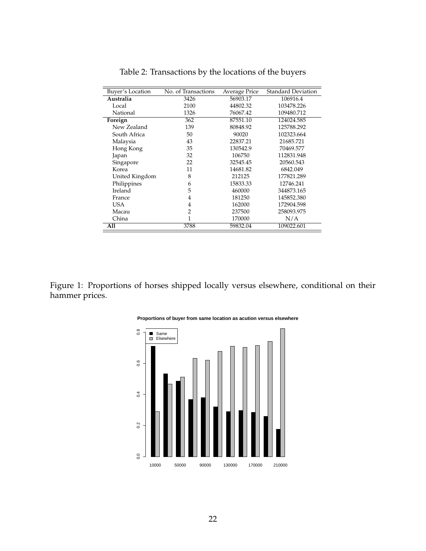<span id="page-21-0"></span>

| Buyer's Location | No. of Transactions | <b>Average Price</b> | <b>Standard Deviation</b> |
|------------------|---------------------|----------------------|---------------------------|
| Australia        | 3426                | 56903.17             | 106916.4                  |
| Local            | 2100                | 44802.32             | 103478.226                |
| National         | 1326                | 76067.42             | 109480.712                |
| Foreign          | 362                 | 87551.10             | 124024.585                |
| New Zealand      | 139                 | 80848.92             | 125788.292                |
| South Africa     | 50                  | 90020                | 102323.664                |
| Malaysia         | 43                  | 22837.21             | 21685.721                 |
| Hong Kong        | 35                  | 130542.9             | 70469.577                 |
| Japan            | 32                  | 106750               | 112831.948                |
| Singapore        | 22                  | 32545.45             | 20560.543                 |
| Korea            | 11                  | 14681.82             | 6842.049                  |
| United Kingdom   | 8                   | 212125               | 177821.289                |
| Philippines      | 6                   | 15833.33             | 12746.241                 |
| Ireland          | 5                   | 460000               | 344873.165                |
| France           | 4                   | 181250               | 145852.380                |
| USA              | 4                   | 162000               | 172904.598                |
| Macau            | 2                   | 237500               | 258093.975                |
| China            | 1                   | 170000               | N/A                       |
| A11              | 3788                | 59832.04             | 109022.601                |

Table 2: Transactions by the locations of the buyers

<span id="page-21-1"></span>Figure 1: Proportions of horses shipped locally versus elsewhere, conditional on their hammer prices.



**Proportions of buyer from same location as acution versus elsewhere**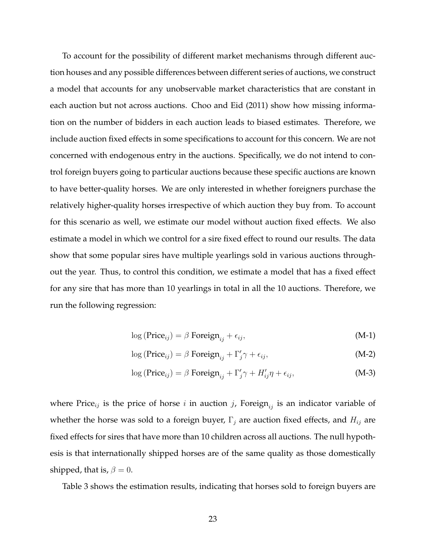To account for the possibility of different market mechanisms through different auction houses and any possible differences between different series of auctions, we construct a model that accounts for any unobservable market characteristics that are constant in each auction but not across auctions. Choo and Eid (2011) show how missing information on the number of bidders in each auction leads to biased estimates. Therefore, we include auction fixed effects in some specifications to account for this concern. We are not concerned with endogenous entry in the auctions. Specifically, we do not intend to control foreign buyers going to particular auctions because these specific auctions are known to have better-quality horses. We are only interested in whether foreigners purchase the relatively higher-quality horses irrespective of which auction they buy from. To account for this scenario as well, we estimate our model without auction fixed effects. We also estimate a model in which we control for a sire fixed effect to round our results. The data show that some popular sires have multiple yearlings sold in various auctions throughout the year. Thus, to control this condition, we estimate a model that has a fixed effect for any sire that has more than 10 yearlings in total in all the 10 auctions. Therefore, we run the following regression:

<span id="page-22-1"></span>
$$
\log(\text{Price}_{ij}) = \beta \text{ Foreign}_{ij} + \epsilon_{ij},\tag{M-1}
$$

<span id="page-22-0"></span>
$$
\log(\text{Price}_{ij}) = \beta \text{ Foreign}_{ij} + \Gamma'_j \gamma + \epsilon_{ij}, \tag{M-2}
$$

$$
\log(\text{Price}_{ij}) = \beta \text{ Foreign}_{ij} + \Gamma'_j \gamma + H'_{ij} \eta + \epsilon_{ij}, \tag{M-3}
$$

where Price<sub>ij</sub> is the price of horse i in auction j, Foreign<sub>ij</sub> is an indicator variable of whether the horse was sold to a foreign buyer,  $\Gamma_j$  are auction fixed effects, and  $H_{ij}$  are fixed effects for sires that have more than 10 children across all auctions. The null hypothesis is that internationally shipped horses are of the same quality as those domestically shipped, that is,  $\beta = 0$ .

Table [3](#page-23-0) shows the estimation results, indicating that horses sold to foreign buyers are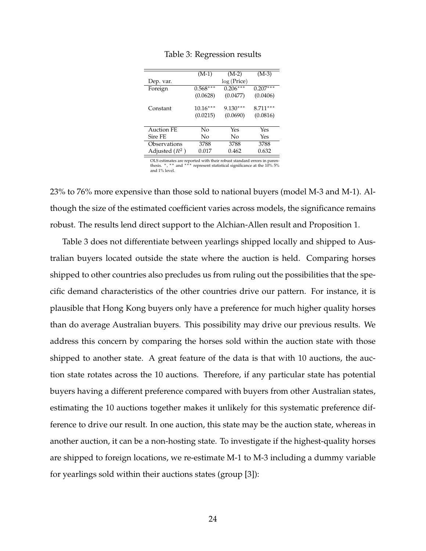<span id="page-23-0"></span>

|                  | $(M-1)$    | $(M-2)$    | $(M-3)$    |
|------------------|------------|------------|------------|
| Dep. var.        |            | log(Price) |            |
| Foreign          | $0.568***$ | $0.206***$ | $0.207***$ |
|                  | (0.0628)   | (0.0477)   | (0.0406)   |
| Constant         | $10.16***$ | $9.130***$ | $8.711***$ |
|                  | (0.0215)   | (0.0690)   | (0.0816)   |
|                  |            |            |            |
| Auction FE       | No         | Yes        | Yes        |
| Sire FE          | No         | No         | Yes        |
| Observations     | 3788       | 3788       | 3788       |
| Adjusted $(R^2)$ | 0.017      | 0.462      | 0.632      |
|                  |            |            |            |

Table 3: Regression results

OLS estimates are reported with their robust standard errors in paren-<br>thesis. \*, \*\* and \*\*\* represent statistical significance at the 10% 5% and 1% level.

23% to 76% more expensive than those sold to national buyers (model [M-3](#page-22-0) and [M-1\)](#page-22-1). Although the size of the estimated coefficient varies across models, the significance remains robust. The results lend direct support to the Alchian-Allen result and Proposition [1.](#page-13-0)

Table [3](#page-23-0) does not differentiate between yearlings shipped locally and shipped to Australian buyers located outside the state where the auction is held. Comparing horses shipped to other countries also precludes us from ruling out the possibilities that the specific demand characteristics of the other countries drive our pattern. For instance, it is plausible that Hong Kong buyers only have a preference for much higher quality horses than do average Australian buyers. This possibility may drive our previous results. We address this concern by comparing the horses sold within the auction state with those shipped to another state. A great feature of the data is that with 10 auctions, the auction state rotates across the 10 auctions. Therefore, if any particular state has potential buyers having a different preference compared with buyers from other Australian states, estimating the 10 auctions together makes it unlikely for this systematic preference difference to drive our result. In one auction, this state may be the auction state, whereas in another auction, it can be a non-hosting state. To investigate if the highest-quality horses are shipped to foreign locations, we re-estimate [M-1](#page-22-1) to [M-3](#page-22-0) including a dummy variable for yearlings sold within their auctions states (group [3]):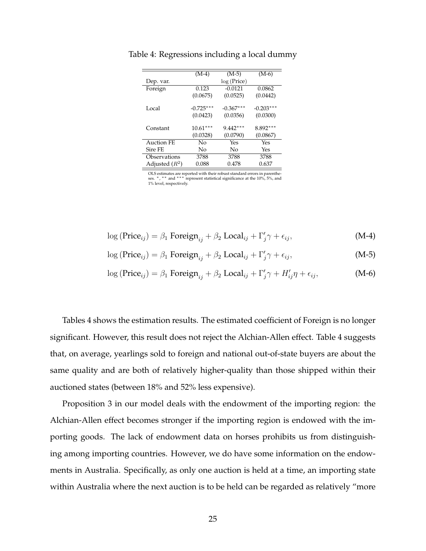|                   | $(M-4)$     | $(M-5)$     | $(M-6)$     |
|-------------------|-------------|-------------|-------------|
| Dep. var.         |             | log(Price)  |             |
| Foreign           | 0.123       | $-0.0121$   | 0.0862      |
|                   | (0.0675)    | (0.0525)    | (0.0442)    |
|                   |             |             |             |
| Local             | $-0.725***$ | $-0.367***$ | $-0.203***$ |
|                   | (0.0423)    | (0.0356)    | (0.0300)    |
|                   |             |             |             |
| Constant          | $10.61***$  | $9.442***$  | $8.892***$  |
|                   | (0.0328)    | (0.0790)    | (0.0867)    |
| <b>Auction FE</b> | No          | Yes         | Yes         |
| Sire FE           | No          | Nο          | Yes         |
| Observations      | 3788        | 3788        | 3788        |
| Adjusted $(R^2)$  | 0.088       | 0.478       | 0.637       |

<span id="page-24-0"></span>Table 4: Regressions including a local dummy

OLS estimates are reported with their robust standard errors in parenthe-<br>ses. \*, \*\* and \*\*\* represent statistical significance at the 10%, 5%, and 1% level, respectively.

$$
\log(\text{Price}_{ij}) = \beta_1 \text{ Foreign}_{ij} + \beta_2 \text{Local}_{ij} + \Gamma'_j \gamma + \epsilon_{ij}, \tag{M-4}
$$

$$
\log(\text{Price}_{ij}) = \beta_1 \text{ Foreign}_{ij} + \beta_2 \text{Local}_{ij} + \Gamma'_j \gamma + \epsilon_{ij}, \tag{M-5}
$$

$$
\log(\text{Price}_{ij}) = \beta_1 \text{ Foreign}_{ij} + \beta_2 \text{Local}_{ij} + \Gamma'_j \gamma + H'_{ij} \eta + \epsilon_{ij}, \tag{M-6}
$$

Tables [4](#page-24-0) shows the estimation results. The estimated coefficient of Foreign is no longer significant. However, this result does not reject the Alchian-Allen effect. Table [4](#page-24-0) suggests that, on average, yearlings sold to foreign and national out-of-state buyers are about the same quality and are both of relatively higher-quality than those shipped within their auctioned states (between 18% and 52% less expensive).

Proposition [3](#page-15-0) in our model deals with the endowment of the importing region: the Alchian-Allen effect becomes stronger if the importing region is endowed with the importing goods. The lack of endowment data on horses prohibits us from distinguishing among importing countries. However, we do have some information on the endowments in Australia. Specifically, as only one auction is held at a time, an importing state within Australia where the next auction is to be held can be regarded as relatively "more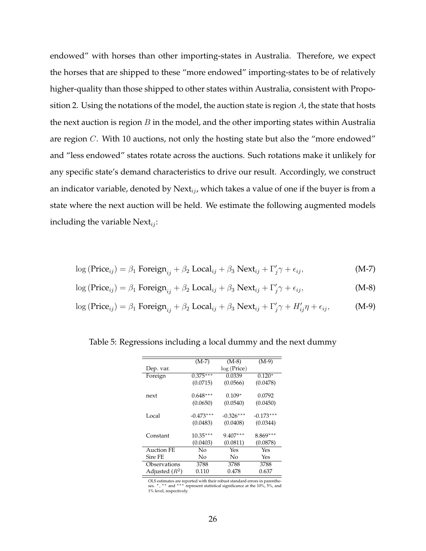endowed" with horses than other importing-states in Australia. Therefore, we expect the horses that are shipped to these "more endowed" importing-states to be of relatively higher-quality than those shipped to other states within Australia, consistent with Propo-sition [2.](#page-14-0) Using the notations of the model, the auction state is region  $A$ , the state that hosts the next auction is region  $B$  in the model, and the other importing states within Australia are region C. With 10 auctions, not only the hosting state but also the "more endowed" and "less endowed" states rotate across the auctions. Such rotations make it unlikely for any specific state's demand characteristics to drive our result. Accordingly, we construct an indicator variable, denoted by Next $_{ij}$ , which takes a value of one if the buyer is from a state where the next auction will be held. We estimate the following augmented models including the variable  $Next_{ii}$ :

$$
\log(\text{Price}_{ij}) = \beta_1 \text{ Foreign}_{ij} + \beta_2 \text{Local}_{ij} + \beta_3 \text{Next}_{ij} + \Gamma'_j \gamma + \epsilon_{ij},
$$
\n(M-7)

$$
\log(\text{Price}_{ij}) = \beta_1 \text{ Foreign}_{ij} + \beta_2 \text{Local}_{ij} + \beta_3 \text{Next}_{ij} + \Gamma'_j \gamma + \epsilon_{ij},
$$
\n(M-8)

 $log (Price_{ij}) = \beta_1$  Foreign<sub>ij</sub> +  $\beta_2$  Local<sub>ij</sub> +  $\beta_3$  Next<sub>ij</sub> +  $\Gamma'_j \gamma + H'_{ij} \eta + \epsilon_{ij}$ , (M-9)

<span id="page-25-3"></span><span id="page-25-2"></span><span id="page-25-1"></span>

|                   | $(M-7)$     | $(M-8)$     | $(M-9)$     |
|-------------------|-------------|-------------|-------------|
| Dep. var.         |             | log(Price)  |             |
| Foreign           | $0.375***$  | 0.0339      | $0.120*$    |
|                   | (0.0715)    | (0.0566)    | (0.0478)    |
| next              | $0.648***$  | $0.109*$    | 0.0792      |
|                   | (0.0650)    | (0.0540)    | (0.0450)    |
| Local             | $-0.473***$ | $-0.326***$ | $-0.173***$ |
|                   | (0.0483)    | (0.0408)    | (0.0344)    |
| Constant          | $10.35***$  | $9.407***$  | $8.869***$  |
|                   | (0.0403)    | (0.0811)    | (0.0878)    |
| <b>Auction FE</b> | Nο          | Yes         | Yes         |
| Sire FE           | No          | Nο          | Yes         |
| Observations      | 3788        | 3788        | 3788        |
| Adjusted $(R^2)$  | 0.110       | 0.478       | 0.637       |
|                   |             |             |             |

<span id="page-25-0"></span>Table 5: Regressions including a local dummy and the next dummy

OLS estimates are reported with their robust standard errors in parenthe-ses. <sup>∗</sup>, ∗∗ and ∗∗∗ represent statistical significance at the 10%, 5%, and 1% level, respectively.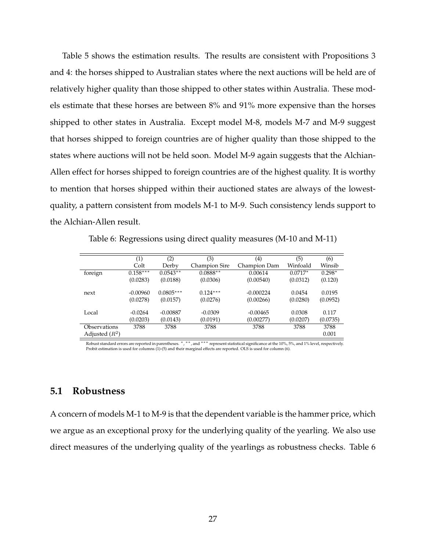Table [5](#page-25-0) shows the estimation results. The results are consistent with Propositions [3](#page-15-0) and [4:](#page-15-1) the horses shipped to Australian states where the next auctions will be held are of relatively higher quality than those shipped to other states within Australia. These models estimate that these horses are between 8% and 91% more expensive than the horses shipped to other states in Australia. Except model [M-8,](#page-25-1) models [M-7](#page-25-2) and [M-9](#page-25-3) suggest that horses shipped to foreign countries are of higher quality than those shipped to the states where auctions will not be held soon. Model [M-9](#page-25-3) again suggests that the Alchian-Allen effect for horses shipped to foreign countries are of the highest quality. It is worthy to mention that horses shipped within their auctioned states are always of the lowestquality, a pattern consistent from models [M-1](#page-22-1) to [M-9.](#page-25-3) Such consistency lends support to the Alchian-Allen result.

Table 6: Regressions using direct quality measures (M-10 and M-11)

<span id="page-26-0"></span>

|                            | (1)        | (2)         | (3)                  | (4)          | (5)       | (6)      |
|----------------------------|------------|-------------|----------------------|--------------|-----------|----------|
|                            | Colt       | Derby       | <b>Champion Sire</b> | Champion Dam | Winfoald  | Winsib   |
| foreign                    | $0.158***$ | $0.0543**$  | $0.0888**$           | 0.00614      | $0.0717*$ | $0.298*$ |
|                            | (0.0283)   | (0.0188)    | (0.0306)             | (0.00540)    | (0.0312)  | (0.120)  |
|                            |            |             |                      |              |           |          |
| next                       | $-0.00960$ | $0.0805***$ | $0.124***$           | $-0.000224$  | 0.0454    | 0.0195   |
|                            | (0.0278)   | (0.0157)    | (0.0276)             | (0.00266)    | (0.0280)  | (0.0952) |
|                            |            |             |                      |              |           |          |
| Local                      | $-0.0264$  | $-0.00887$  | $-0.0309$            | $-0.00465$   | 0.0308    | 0.117    |
|                            | (0.0203)   | (0.0143)    | (0.0191)             | (0.00277)    | (0.0207)  | (0.0735) |
| <i><b>Observations</b></i> | 3788       | 3788        | 3788                 | 3788         | 3788      | 3788     |
| Adjusted $(R^2)$           |            |             |                      |              |           | 0.001    |

Robust standard errors are reported in parentheses. \*, \*\*, and \*\*\* represent statistical significance at the 10%, 5%, and 1% level, respectively. Probit estimation is used for columns  $(1)$ -(5) and their marginal effects are reported. OLS is used for column (6).

#### **5.1 Robustness**

A concern of models [M-1](#page-22-1) to [M-9](#page-25-3) is that the dependent variable is the hammer price, which we argue as an exceptional proxy for the underlying quality of the yearling. We also use direct measures of the underlying quality of the yearlings as robustness checks. Table [6](#page-26-0)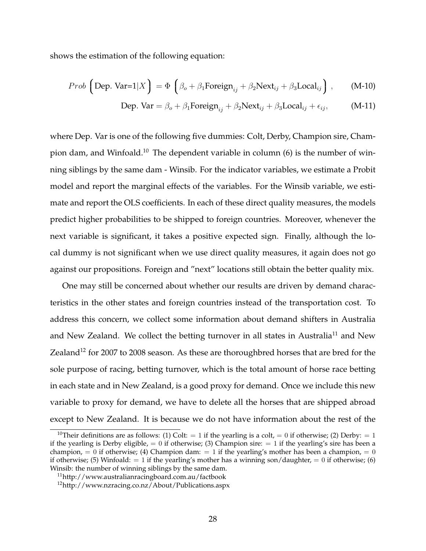shows the estimation of the following equation:

*Prob* 
$$
\left(\text{Dep. Var=1}|X\right) = \Phi\left(\beta_o + \beta_1 \text{Foreign}_{ij} + \beta_2 \text{Next}_{ij} + \beta_3 \text{Local}_{ij}\right)
$$
, (M-10)

Dep. Var = 
$$
\beta_o + \beta_1
$$
 Foreign +  $\beta_2$ Next<sub>ij</sub> +  $\beta_3$ Local<sub>ij</sub> +  $\epsilon_{ij}$ , (M-11)

where Dep. Var is one of the following five dummies: Colt, Derby, Champion sire, Cham-pion dam, and Winfoald.<sup>[10](#page-0-0)</sup> The dependent variable in column  $(6)$  is the number of winning siblings by the same dam - Winsib. For the indicator variables, we estimate a Probit model and report the marginal effects of the variables. For the Winsib variable, we estimate and report the OLS coefficients. In each of these direct quality measures, the models predict higher probabilities to be shipped to foreign countries. Moreover, whenever the next variable is significant, it takes a positive expected sign. Finally, although the local dummy is not significant when we use direct quality measures, it again does not go against our propositions. Foreign and "next" locations still obtain the better quality mix.

One may still be concerned about whether our results are driven by demand characteristics in the other states and foreign countries instead of the transportation cost. To address this concern, we collect some information about demand shifters in Australia and New Zealand. We collect the betting turnover in all states in Australia<sup>[11](#page-0-0)</sup> and New Zealand<sup>[12](#page-0-0)</sup> for 2007 to 2008 season. As these are thoroughbred horses that are bred for the sole purpose of racing, betting turnover, which is the total amount of horse race betting in each state and in New Zealand, is a good proxy for demand. Once we include this new variable to proxy for demand, we have to delete all the horses that are shipped abroad except to New Zealand. It is because we do not have information about the rest of the

<sup>&</sup>lt;sup>10</sup>Their definitions are as follows: (1) Colt: = 1 if the yearling is a colt, = 0 if otherwise; (2) Derby: = 1 if the yearling is Derby eligible,  $= 0$  if otherwise; (3) Champion sire:  $= 1$  if the yearling's sire has been a champion,  $= 0$  if otherwise; (4) Champion dam:  $= 1$  if the yearling's mother has been a champion,  $= 0$ if otherwise; (5) Winfoald:  $= 1$  if the yearling's mother has a winning son/daughter,  $= 0$  if otherwise; (6) Winsib: the number of winning siblings by the same dam.

<sup>11</sup><http://www.australianracingboard.com.au/factbook>

 $12$ <http://www.nzracing.co.nz/About/Publications.aspx>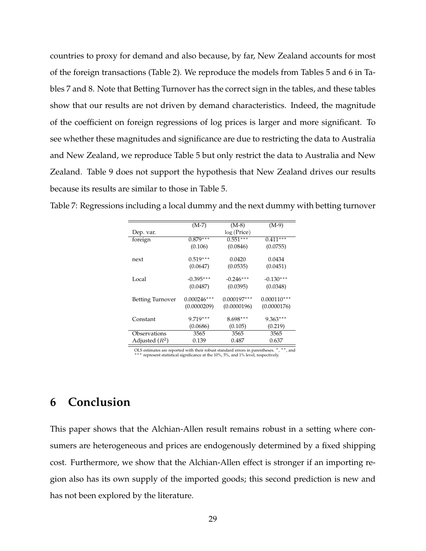countries to proxy for demand and also because, by far, New Zealand accounts for most of the foreign transactions (Table [2\)](#page-21-0). We reproduce the models from Tables [5](#page-25-0) and [6](#page-26-0) in Tables [7](#page-28-0) and [8.](#page-29-0) Note that Betting Turnover has the correct sign in the tables, and these tables show that our results are not driven by demand characteristics. Indeed, the magnitude of the coefficient on foreign regressions of log prices is larger and more significant. To see whether these magnitudes and significance are due to restricting the data to Australia and New Zealand, we reproduce Table [5](#page-25-0) but only restrict the data to Australia and New Zealand. Table [9](#page-29-1) does not support the hypothesis that New Zealand drives our results because its results are similar to those in Table [5.](#page-25-0)

<span id="page-28-0"></span>

| Table 7: Regressions including a local dummy and the next dummy with betting turnover |  |  |
|---------------------------------------------------------------------------------------|--|--|
|                                                                                       |  |  |

|                  | $(M-7)$       | $(M-8)$               | $(M-9)$       |
|------------------|---------------|-----------------------|---------------|
| Dep. var.        |               | log(Price)            |               |
| foreign          | $0.879***$    | $0.55\overline{1***}$ | $0.411***$    |
|                  | (0.106)       | (0.0846)              | (0.0755)      |
| next             | $0.519***$    | 0.0420                | 0.0434        |
|                  | (0.0647)      | (0.0535)              | (0.0451)      |
| Local            | $-0.395***$   | $-0.246***$           | $-0.130***$   |
|                  | (0.0487)      | (0.0395)              | (0.0348)      |
| Betting Turnover | $0.000246***$ | $0.000197***$         | $0.000110***$ |
|                  | (0.0000209)   | (0.0000196)           | (0.0000176)   |
| Constant         | $9.719***$    | $8.698***$            | $9.363***$    |
|                  | (0.0686)      | (0.105)               | (0.219)       |
| Observations     | 3565          | 3565                  | 3565          |
| Adjusted $(R^2)$ | 0.139         | 0.487                 | 0.637         |

OLS estimates are reported with their robust standard errors in parentheses. \*, \*\*, and \*\*\* represent statistical significance at the 10%, 5%, and 1% level, respectively.

## **6 Conclusion**

This paper shows that the Alchian-Allen result remains robust in a setting where consumers are heterogeneous and prices are endogenously determined by a fixed shipping cost. Furthermore, we show that the Alchian-Allen effect is stronger if an importing region also has its own supply of the imported goods; this second prediction is new and has not been explored by the literature.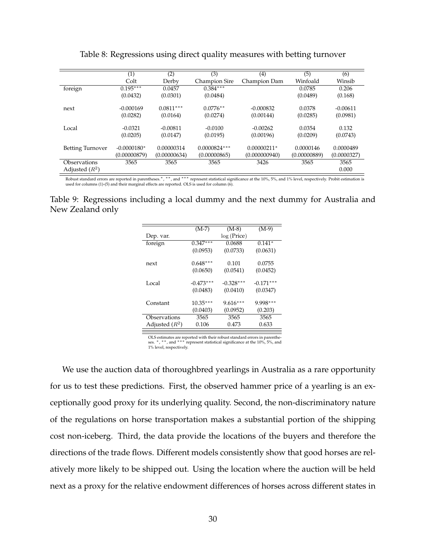<span id="page-29-0"></span>

|                  | (1)           | (2)          | (3)                  | (4)           | (5)          | (6)         |
|------------------|---------------|--------------|----------------------|---------------|--------------|-------------|
|                  | Colt          | Derby        | <b>Champion Sire</b> | Champion Dam  | Winfoald     | Winsib      |
| foreign          | $0.195***$    | 0.0457       | $0.384***$           |               | 0.0785       | 0.206       |
|                  | (0.0432)      | (0.0301)     | (0.0484)             |               | (0.0489)     | (0.168)     |
|                  |               |              |                      |               |              |             |
| next             | $-0.000169$   | $0.0811***$  | $0.0776**$           | $-0.000832$   | 0.0378       | $-0.00611$  |
|                  | (0.0282)      | (0.0164)     | (0.0274)             | (0.00144)     | (0.0285)     | (0.0981)    |
|                  |               |              |                      |               |              |             |
| Local            | $-0.0321$     | $-0.00811$   | $-0.0100$            | $-0.00262$    | 0.0354       | 0.132       |
|                  | (0.0205)      | (0.0147)     | (0.0195)             | (0.00196)     | (0.0209)     | (0.0743)    |
|                  |               |              |                      |               |              |             |
| Betting Turnover | $-0.0000180*$ | 0.00000314   | $0.0000824***$       | 0.00000211*   | 0.0000146    | 0.0000489   |
|                  | (0.00000879)  | (0.00000634) | (0.00000865)         | (0.000000940) | (0.00000889) | (0.0000327) |
| Observations     | 3565          | 3565         | 3565                 | 3426          | 3565         | 3565        |
| Adjusted $(R^2)$ |               |              |                      |               |              | 0.000       |

Table 8: Regressions using direct quality measures with betting turnover

Robust standard errors are reported in parentheses.\*, \*\*, and \*\*\* represent statistical significance at the 10%, 5%, and 1% level, respectively. Probit estimation is used for columns (1)-(5) and their marginal effects are reported. OLS is used for column (6).

<span id="page-29-1"></span>Table 9: Regressions including a local dummy and the next dummy for Australia and New Zealand only

|                  | $(M-7)$     | $(M-8)$     | $(M-9)$     |
|------------------|-------------|-------------|-------------|
| Dep. var.        |             | log(Price)  |             |
| foreign          | $0.347***$  | 0.0688      | $0.141*$    |
|                  | (0.0953)    | (0.0733)    | (0.0631)    |
| next             | $0.648***$  | 0.101       | 0.0755      |
|                  | (0.0650)    | (0.0541)    | (0.0452)    |
| Local            | $-0.473***$ | $-0.328***$ | $-0.171***$ |
|                  | (0.0483)    | (0.0410)    | (0.0347)    |
| Constant         | $10.35***$  | $9.616***$  | 9.998***    |
|                  | (0.0403)    | (0.0952)    | (0.203)     |
| Observations     | 3565        | 3565        | 3565        |
| Adjusted $(R^2)$ | 0.106       | 0.473       | 0.633       |
|                  |             |             |             |

OLS estimates are reported with their robust standard errors in parenthe-<br>ses. \*, \*\*, and \*\*\* represent statistical significance at the 10%, 5%, and 1% level, respectively.

We use the auction data of thoroughbred yearlings in Australia as a rare opportunity for us to test these predictions. First, the observed hammer price of a yearling is an exceptionally good proxy for its underlying quality. Second, the non-discriminatory nature of the regulations on horse transportation makes a substantial portion of the shipping cost non-iceberg. Third, the data provide the locations of the buyers and therefore the directions of the trade flows. Different models consistently show that good horses are relatively more likely to be shipped out. Using the location where the auction will be held next as a proxy for the relative endowment differences of horses across different states in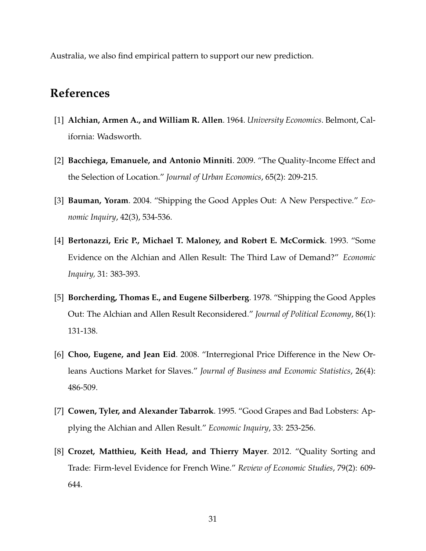Australia, we also find empirical pattern to support our new prediction.

## **References**

- [1] **Alchian, Armen A., and William R. Allen**. 1964. *University Economics*. Belmont, California: Wadsworth.
- [2] **Bacchiega, Emanuele, and Antonio Minniti**. 2009. "The Quality-Income Effect and the Selection of Location." *Journal of Urban Economics*, 65(2): 209-215.
- [3] **Bauman, Yoram**. 2004. "Shipping the Good Apples Out: A New Perspective." *Economic Inquiry*, 42(3), 534-536.
- [4] **Bertonazzi, Eric P., Michael T. Maloney, and Robert E. McCormick**. 1993. "Some Evidence on the Alchian and Allen Result: The Third Law of Demand?" *Economic Inquiry,* 31: 383-393.
- [5] **Borcherding, Thomas E., and Eugene Silberberg**. 1978. "Shipping the Good Apples Out: The Alchian and Allen Result Reconsidered." *Journal of Political Economy*, 86(1): 131-138.
- [6] **Choo, Eugene, and Jean Eid**. 2008. "Interregional Price Difference in the New Orleans Auctions Market for Slaves." *Journal of Business and Economic Statistics*, 26(4): 486-509.
- [7] **Cowen, Tyler, and Alexander Tabarrok**. 1995. "Good Grapes and Bad Lobsters: Applying the Alchian and Allen Result." *Economic Inquiry*, 33: 253-256.
- [8] **Crozet, Matthieu, Keith Head, and Thierry Mayer**. 2012. "Quality Sorting and Trade: Firm-level Evidence for French Wine." *Review of Economic Studies*, 79(2): 609- 644.